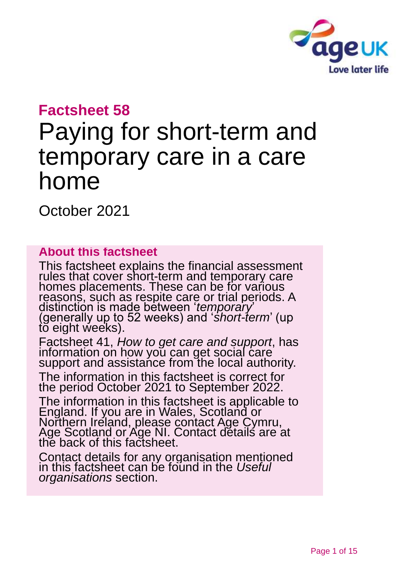

### **Factsheet 58**

# Paying for short-term and temporary care in a care home

October 2021

#### **About this factsheet**

This factsheet explains the financial assessment rules that cover short-term and temporary care homes placements. These can be for various reasons, such as respite care or trial periods. A distinction is made between '*temporary*' (generally up to 52 weeks) and '*short-term*' (up to eight weeks).

Factsheet 41, *[How to get care and support](https://www.ageuk.org.uk/globalassets/age-uk/documents/factsheets/fs41_how_to_get_care_and_support_fcs.pdf)*, has information on how you can get social care support and assistance from the local authority.

The information in this factsheet is correct for the period October 2021 to September 2022.

The information in this factsheet is applicable to England. If you are in Wales, Scotland or Northern Ireland, please contact [Age Cymru,](#page-13-0)  [Age Scotland or Age NI.](#page-13-0) Contact details are at the back of this factsheet.

Contact details for any organisation mentioned in this factsheet can be found in the *[Useful](#page-12-0)  [organisations](#page-12-0)* section.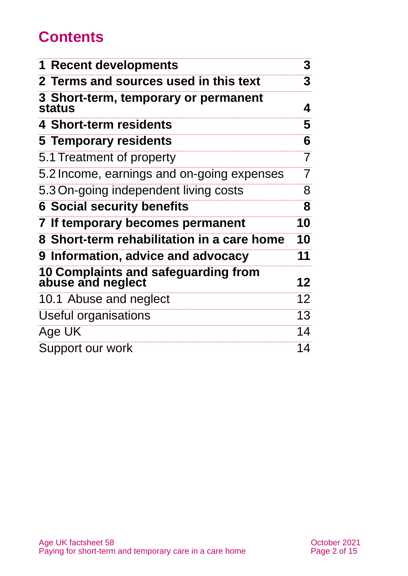# **Contents**

| <b>1 Recent developments</b>                             | 3  |
|----------------------------------------------------------|----|
| 2 Terms and sources used in this text                    | 3  |
| 3 Short-term, temporary or permanent<br><b>status</b>    | 4  |
| 4 Short-term residents                                   | 5  |
| 5 Temporary residents                                    | 6  |
| 5.1 Treatment of property                                | 7  |
| 5.2 Income, earnings and on-going expenses               | 7  |
| 5.3 On-going independent living costs                    | 8  |
| <b>6 Social security benefits</b>                        | 8  |
| 7 If temporary becomes permanent                         | 10 |
| 8 Short-term rehabilitation in a care home               | 10 |
| 9 Information, advice and advocacy                       | 11 |
| 10 Complaints and safeguarding from<br>abuse and neglect | 12 |
| 10.1 Abuse and neglect                                   | 12 |
| Useful organisations                                     | 13 |
| Age UK                                                   | 14 |
| Support our work                                         | 14 |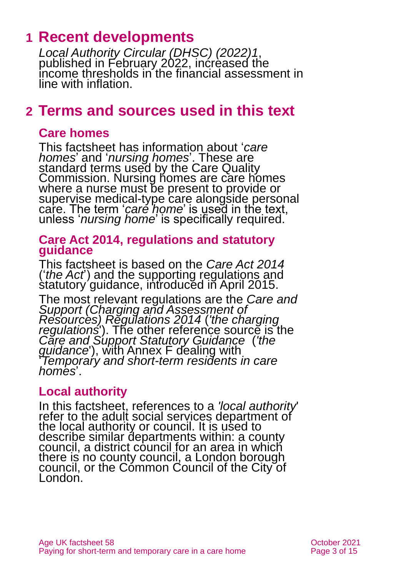### <span id="page-2-0"></span>**1 Recent developments**

*[Local Authority Circular \(DHSC\) \(2022\)1](https://www.gov.uk/government/publications/social-care-charging-for-local-authorities-2022-to-2023)*, published in February 2022, increased the income thresholds in the financial assessment in line with inflation.

### <span id="page-2-1"></span>**2 Terms and sources used in this text**

#### **Care homes**

This factsheet has information about '*care homes*' and '*nursing homes*'. These are standard terms used by the Care Quality Commission. Nursing homes are care homes where a nurse must be present to provide or supervise medical-type care alongside personal care. The term '*care home*' is used in the text, unless '*nursing home*' is specifically required.

#### **Care Act 2014, regulations and statutory guidance**

This factsheet is based on the *[Care Act 2014](http://www.legislation.gov.uk/ukpga/2014/23/contents)* ('*the Act*') and the supporting regulations and statutory guidance, introduced in April 2015.

The most relevant regulations are the *[Care and](http://www.legislation.gov.uk/uksi/2014/2672/contents/made)  [Support \(Charging and Assessment of](http://www.legislation.gov.uk/uksi/2014/2672/contents/made)  [Resources\) Regulations 2014](http://www.legislation.gov.uk/uksi/2014/2672/contents/made)* (*'the charging regulations*<sup>'</sup>). The other reference source is the *[Care and Support Statutory Guidance](https://www.gov.uk/government/publications/care-act-statutory-guidance/care-and-support-statutory-guidance)* (*'the guidance*'), with Annex F dealing with '*Temporary and short-term residents in care homes*'.

#### **Local authority**

In this factsheet, references to a *'local authority*' refer to the adult social services department of the local authority or council. It is used to describe similar departments within: a county council, a district council for an area in which there is no county council, a London borough council, or the Common Council of the City of London.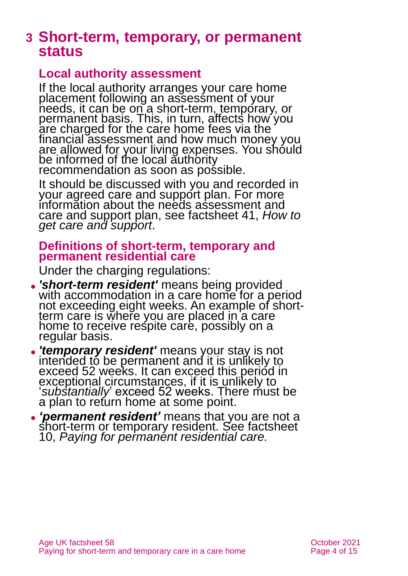### <span id="page-3-0"></span>**3 Short-term, temporary, or permanent status**

#### **Local authority assessment**

If the local authority arranges your care home placement following an assessment of your heeds, it can be on a short-term, temporary, or permanent basis. This, in turn, affects how you are charged for the care home fees via the financial assessment and how much money you are allowed for your living expenses. You should be informed of the local authority recommendation as soon as possible.

It should be discussed with you and recorded in your agreed care and support plan. For more information about the needs assessment and care and support plan, see factsheet 41, *[How to](https://www.ageuk.org.uk/globalassets/age-uk/documents/factsheets/fs41_how_to_get_care_and_support_fcs.pdf)  [get care and support](https://www.ageuk.org.uk/globalassets/age-uk/documents/factsheets/fs41_how_to_get_care_and_support_fcs.pdf)*.

#### **Definitions of short-term, temporary and permanent residential care**

Under the charging regulations:

- ⚫ *'short-term resident'* means being provided with accommodation in a care home for a period not exceeding eight weeks. An example of shortterm care is where you are placed in a care home to receive respite care, possibly on a regular basis.
- ⚫ *'temporary resident'* means your stay is not intended to be permanent and it is unlikely to exceed 52 weeks. It can exceed this period in exceptional circumstances, if it is unlikely to '*substantially*' exceed 52 weeks. There must be a plan to return home at some point.
- ⚫ *'permanent resident'* means that you are not a short-term or temporary resident. See factsheet 10, *[Paying for permanent residential care.](https://www.ageuk.org.uk/globalassets/age-uk/documents/factsheets/fs10_paying_for_permanent_residential_care_fcs.pdf)*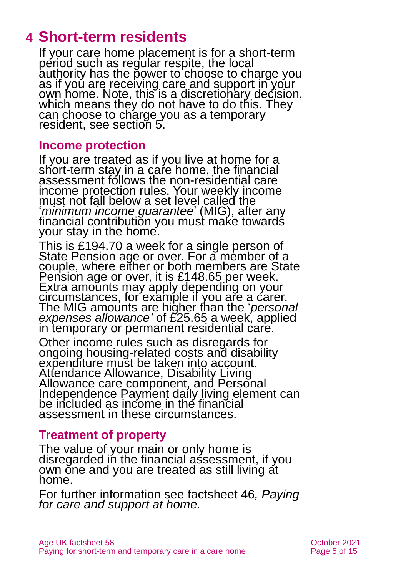### <span id="page-4-0"></span>**4 Short-term residents**

If your care home placement is for a short-term period such as regular respite, the local authority has the power to choose to charge you as if you are receiving care and support in your own home. Note, this is a discretionary decision, which means they do not have to do this. They can choose to charge you as a temporary resident, [see section 5.](#page-5-0)

#### **Income protection**

If you are treated as if you live at home for a short-term stay in a care home, the financial assessment follows the non-residential care income protection rules. Your weekly income must not fall below a set level called the '*minimum income guarantee*' (MIG), after any financial contribution you must make towards your stay in the home.

This is £194.70 a week for a single person of State Pension age or over. For a member of a couple, where either or both members are State Pension age or over, it is £148.65 per week. Extra amounts may apply depending on your circumstances, for example if you are a carer. The MIG amounts are higher than the '*personal expenses allowance'* of £25.65 a week, applied in temporary or permanent residential care.

Other income rules such as disregards for ongoing housing-related costs and disability expenditure must be taken into account. Attendance Allowance, Disability Living Allowance care component, and Personal Independence Payment daily living element can be included as income in the financial assessment in these circumstances.

#### **Treatment of property**

The value of your main or only home is disregarded in the financial assessment, if you own one and you are treated as still living at home.

For further information see factsheet 46*, [Paying](https://www.ageuk.org.uk/globalassets/age-uk/documents/factsheets/fs46_paying_for_care_and_support_at_home_fcs.pdf)  [for care and support at home.](https://www.ageuk.org.uk/globalassets/age-uk/documents/factsheets/fs46_paying_for_care_and_support_at_home_fcs.pdf)*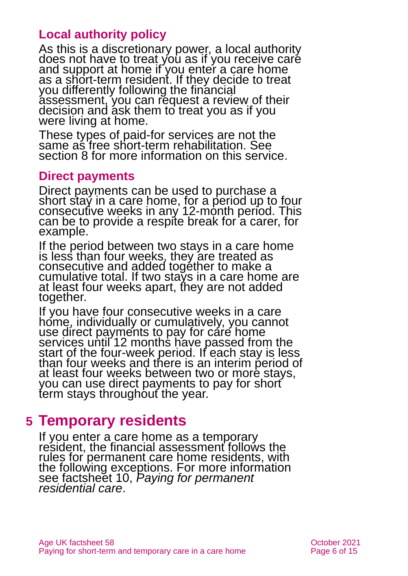### **Local authority policy**

As this is a discretionary power, a local authority does not have to treat you as if you receive care and support at home if you enter a care home as a short-term resident. If they decide to treat you differently following the financial assessment, you can request a review of their decision and ask them to treat you as if you were living at home.

These types of paid-for services are not the same as free short-term rehabilitation. See [section 8](#page-9-1) for more information on this service.

#### **Direct payments**

Direct payments can be used to purchase a short stay in a care home, for a period up to four consecutive weeks in any 12-month period. This can be to provide a respite break for a carer, for example.

If the period between two stays in a care home is less than four weeks, they are treated as consecutive and added together to make a cumulative total. If two stays in a care home are at least four weeks apart, they are not added together.

If you have four consecutive weeks in a care home, individually or cumulatively, you cannot use direct payments to pay for care home services until 12 months have passed from the start of the four-week period. If each stay is less than four weeks and there is an interim period of at least four weeks between two or more stays, you can use direct payments to pay for short term stays throughout the year.

### <span id="page-5-0"></span>**5 Temporary residents**

If you enter a care home as a temporary resident, the financial assessment follows the rules for permanent care home residents, with the following exceptions. For more information see factsheet 10, *[Paying for permanent](https://www.ageuk.org.uk/globalassets/age-uk/documents/factsheets/fs10_paying_for_permanent_residential_care_fcs.pdf)  [residential care](https://www.ageuk.org.uk/globalassets/age-uk/documents/factsheets/fs10_paying_for_permanent_residential_care_fcs.pdf)*.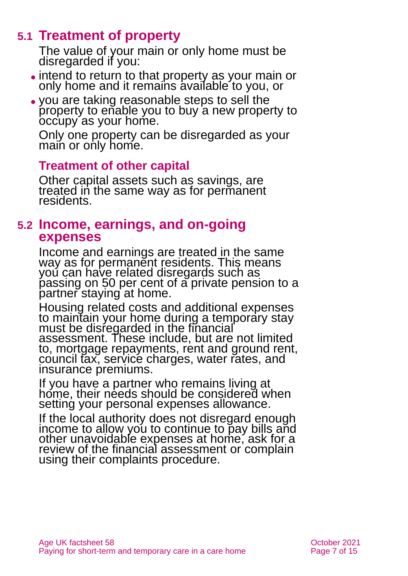### **5.1 Treatment of property**

The value of your main or only home must be disregarded if you:

- ⚫ intend to return to that property as your main or only home and it remains available to you, or
- ⚫ you are taking reasonable steps to sell the property to enable you to buy a new property to occupy as your home.

Only one property can be disregarded as your main or only home.

#### **Treatment of other capital**

Other capital assets such as savings, are treated in the same way as for permanent residents.

#### **5.2 Income, earnings, and on-going expenses**

Income and earnings are treated in the same way as for permanent residents. This means you can have related disregards such as passing on 50 per cent of a private pension to a partner staying at home.

Housing related costs and additional expenses to maintain your home during a temporary stay must be disregarded in the financial assessment. These include, but are not limited to, mortgage repayments, rent and ground rent, council tax, service charges, water rates, and insurance premiums.

If you have a partner who remains living at home, their needs should be considered when setting your personal expenses allowance.

If the local authority does not disregard enough income to allow you to continue to pay bills and other unavoidable expenses at home, ask for a review of the financial assessment or complain using their complaints procedure.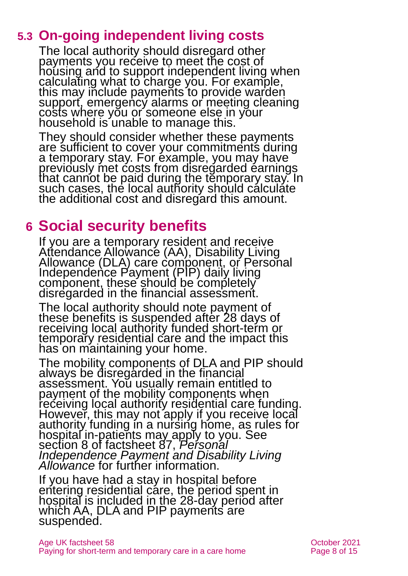### **5.3 On-going independent living costs**

The local authority should disregard other payments you receive to meet the cost of housing and to support independent living when calculating what to charge you. For example, this may include payments to provide warden support, emergency alarms or meeting cleaning costs where you or someone else in your household is unable to manage this.

They should consider whether these payments are sufficient to cover your commitments during a temporary stay. For example, you may have previously met costs from disregarded earnings that cannot be paid during the temporary stay. In such cases, the local authority should calculate the additional cost and disregard this amount.

### <span id="page-7-0"></span>**6 Social security benefits**

If you are a temporary resident and receive Attendance Allowance (AA), Disability Living Allowance (DLA) care component, or Personal Independence Payment (PIP) daily living component, these should be completely disregarded in the financial assessment.

The local authority should note payment of these benefits is suspended after 28 days of receiving local authority funded short-term or temporary residential care and the impact this has on maintaining your home.

The mobility components of DLA and PIP should always be disregarded in the financial assessment. You usually remain entitled to payment of the mobility components when receiving local authority residential care funding. However, this may not apply if you receive local authority funding in a nursing home, as rules for hospital in-patients may apply to you. See section 8 of factsheet 87, *[Personal](https://www.ageuk.org.uk/globalassets/age-uk/documents/factsheets/fs87_personal_independence_payment_fcs.pdf)  [Independence Payment and Disability Living](https://www.ageuk.org.uk/globalassets/age-uk/documents/factsheets/fs87_personal_independence_payment_fcs.pdf)  [Allowance](https://www.ageuk.org.uk/globalassets/age-uk/documents/factsheets/fs87_personal_independence_payment_fcs.pdf)* for further information.

If you have had a stay in hospital before entering residential care, the period spent in hospital is included in the 28-day period after which AA, DLA and PIP payments are suspended.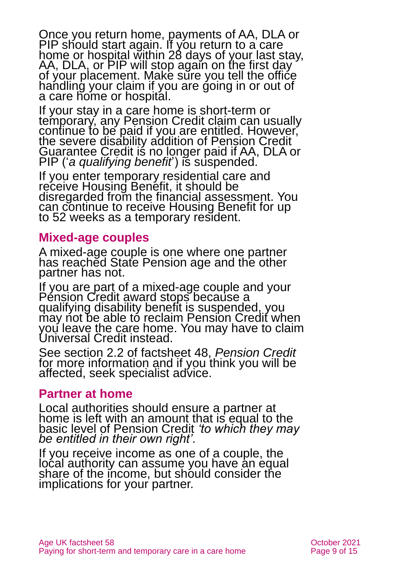Once you return home, payments of AA, DLA or PIP should start again. It you return to a care home or hospital within 28 days of your last stay, AA, DLA, or PIP will stop again on the first day of your placement. Make sure you tell the office handling your claim if you are going in or out of a care home or hospital.

If your stay in a care home is short-term or temporary, any Pension Credit claim can usually continue to be paid if you are entitled. However, the severe disability addition of Pension Credit Guarantee Credit is no longer paid if AA, DLA or PIP ('*a qualifying benefit*') is suspended.

If you enter temporary residential care and receive Housing Benefit, it should be disregarded from the financial assessment. You can continue to receive Housing Benefit for up to 52 weeks as a temporary resident.

#### **Mixed-age couples**

A mixed-age couple is one where one partner has reached State Pension age and the other partner has not.

If you are part of a mixed-age couple and your Pension Credit award stops because a qualifying disability benefit is suspended, you may not be able to reclaim Pension Credit when you leave the care home. You may have to claim Universal Credit instead.

See section 2.2 of factsheet 48, *[Pension Credit](https://www.ageuk.org.uk/globalassets/age-uk/documents/factsheets/fs48_pension_credit_fcs.pdf)* for more information and if you think you will be affected, seek specialist advice.

#### **Partner at home**

Local authorities should ensure a partner at home is left with an amount that is equal to the basic level of Pension Credit *'to which they may be entitled in their own right'*.

If you receive income as one of a couple, the local authority can assume you have an equal share of the income, but should consider the implications for your partner.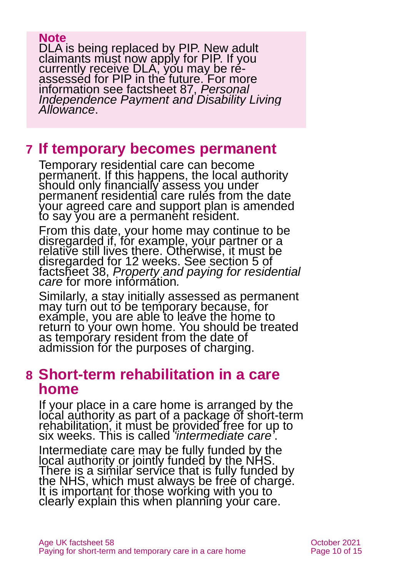#### **Note**

DLA is being replaced by PIP. New adult claimants must now apply for PIP. If you currently receive DLA, you may be reassessed for PIP in the future. For more information see factsheet 87, *[Personal](https://www.ageuk.org.uk/globalassets/age-uk/documents/factsheets/fs87_personal_independence_payment_fcs.pdf?dtrk=true)  [Independence Payment and Disability Living](https://www.ageuk.org.uk/globalassets/age-uk/documents/factsheets/fs87_personal_independence_payment_fcs.pdf?dtrk=true)  [Allowance](https://www.ageuk.org.uk/globalassets/age-uk/documents/factsheets/fs87_personal_independence_payment_fcs.pdf?dtrk=true)*.

### <span id="page-9-0"></span>**7 If temporary becomes permanent**

Temporary residential care can become permanent. If this happens, the local authority should only financially assess you under permanent residential care rules from the date your agreed care and support plan is amended to say you are a permanent resident.

From this date, your home may continue to be disregarded if, for example, your partner or a relative still lives there. Otherwise, it must be disregarded for 12 weeks. See section 5 of factsheet 38, *[Property and paying for residential](https://www.ageuk.org.uk/globalassets/age-uk/documents/factsheets/fs38_property_and_paying_for_residential_care_fcs.pdf)  [care](https://www.ageuk.org.uk/globalassets/age-uk/documents/factsheets/fs38_property_and_paying_for_residential_care_fcs.pdf)* for more information*.*

Similarly, a stay initially assessed as permanent may turn out to be temporary because, for example, you are able to leave the home to return to your own home. You should be treated as temporary resident from the date of admission for the purposes of charging.

### <span id="page-9-1"></span>**8 Short-term rehabilitation in a care home**

If your place in a care home is arranged by the local authority as part of a package of short-term rehabilitation, it must be provided free for up to six weeks. This is called *'intermediate care'*.

Intermediate care may be fully funded by the local authority or jointly funded by the NHS. There is a similar service that is fully funded by the NHS, which must always be free of charge. It is important for those working with you to clearly explain this when planning your care.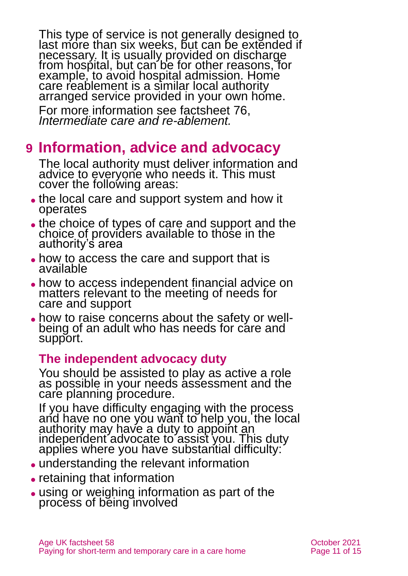This type of service is not generally designed to last more than six weeks, but can be extended if necessary. It is usually provided on discharge from hospital, but can be for other reasons, for example, to avoid hospital admission. Home care reablement is a similar local authority arranged service provided in your own home.

For more information see factsheet 76, *[Intermediate care and re-ablement.](https://www.ageuk.org.uk/globalassets/age-uk/documents/factsheets/fs76_intermediate_care_and_reablement_fcs.pdf)*

### <span id="page-10-0"></span>**9 Information, advice and advocacy**

The local authority must deliver information and advice to everyone who needs it. This must cover the following areas:

- ⚫ the local care and support system and how it operates
- the choice of types of care and support and the choice of providers available to those in the authority's area
- how to access the care and support that is available
- ⚫ how to access independent financial advice on matters relevant to the meeting of needs for care and support
- how to raise concerns about the safety or wellbeing of an adult who has needs for care and support.

#### **The independent advocacy duty**

You should be assisted to play as active a role as possible in your needs assessment and the care planning procedure.

If you have difficulty engaging with the process and have no one you want to help you, the local authority may have a duty to appoint an independent advocate to assist you. This duty applies where you have substantial difficulty:

- ⚫ understanding the relevant information
- retaining that information
- ⚫ using or weighing information as part of the process of being involved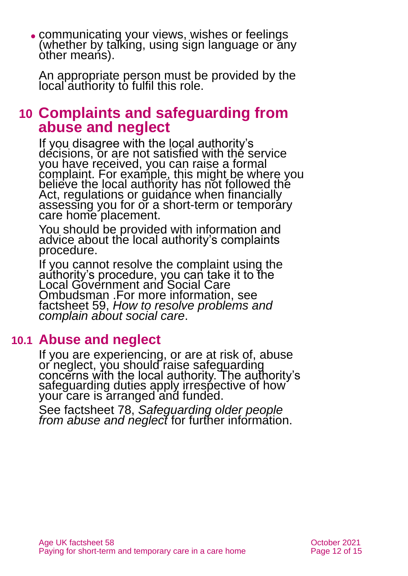⚫ communicating your views, wishes or feelings (whether by talking, using sign language or any other means).

An appropriate person must be provided by the local authority to fulfil this role.

### <span id="page-11-0"></span>**10 Complaints and safeguarding from abuse and neglect**

If you disagree with the local authority's decisions, or are not satisfied with the service you have received, you can raise a formal complaint. For example, this might be where you believe the local authority has not followed the Act, regulations or guidance when financially assessing you for or a short-term or temporary care home placement.

You should be provided with information and advice about the local authority's complaints procedure.

If you cannot resolve the complaint using the authority's procedure, you can take it to the Local Government and Social Care Ombudsman .For more information, see factsheet 59, *[How to resolve problems and](https://www.ageuk.org.uk/globalassets/age-uk/documents/factsheets/fs59_how_to_resolve_problems_and_complain_about_social_care_fcs.pdf)  [complain about social care](https://www.ageuk.org.uk/globalassets/age-uk/documents/factsheets/fs59_how_to_resolve_problems_and_complain_about_social_care_fcs.pdf)*.

### **10.1 Abuse and neglect**

If you are experiencing, or are at risk of, abuse or neglect, you should raise safeguarding concerns with the local authority. The authority's safeguarding duties apply irrespective of how your care is arranged and funded.

See factsheet 78, *[Safeguarding older people](https://www.ageuk.org.uk/globalassets/age-uk/documents/factsheets/fs78_safeguarding_older_people_from_abuse_fcs.pdf)  [from abuse and neglect](https://www.ageuk.org.uk/globalassets/age-uk/documents/factsheets/fs78_safeguarding_older_people_from_abuse_fcs.pdf)* for further information.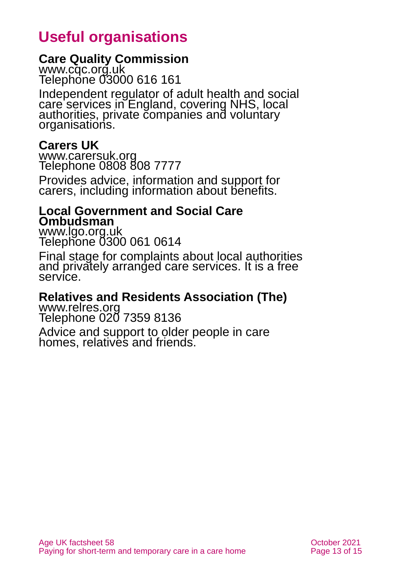# **Useful organisations**

#### <span id="page-12-0"></span>**Care Quality Commission**

[www.cqc.org.uk](http://www.cqc.org.uk/) Telephone 03000 616 161

Independent regulator of adult health and social care services in England, covering NHS, local authorities, private companies and voluntary organisations.

#### **Carers UK**

[www.carersuk.org](http://www.carersuk.org/) Telephone 0808 808 7777

Provides advice, information and support for carers, including information about benefits.

#### **Local Government and Social Care Ombudsman**

[www.lgo.org.uk](http://www.lgo.org.uk/) Telephone 0300 061 0614

Final stage for complaints about local authorities and privately arranged care services. It is a free service.

#### **Relatives and Residents Association (The)**

[www.relres.org](http://www.relres.org/) Telephone 020 7359 8136

Advice and support to older people in care homes, relatives and friends.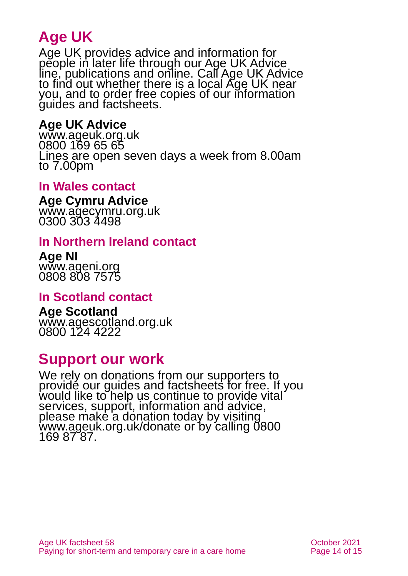# **Age UK**

Age UK provides advice and information for people in later life through our Age UK Advice line, publications and online. Call Age UK Advice to find out whether there is a local Age UK near you, and to order free copies of our information guides and factsheets.

#### <span id="page-13-1"></span>**Age UK Advice**

[www.ageuk.org.uk](http://www.ageuk.org.uk/) 0800 169 65 65 Lines are open seven days a week from 8.00am to 7.00pm

#### **In Wales contact**

**Age Cymru Advice** [www.agecymru.org.uk](http://www.agecymru.org.uk/) 0300 303 4498

#### <span id="page-13-0"></span>**In Northern Ireland contact**

**Age NI** [www.ageni.org](http://www.ageni.org/) 0808 808 7575

#### **In Scotland contact**

<span id="page-13-2"></span>**Age Scotland** [www.agescotland.org.uk](http://www.agescotland.org.uk/) 0800 124 4222

### **Support our work**

We rely on donations from our supporters to provide our guides and factsheets for free. If you would like to help us continue to provide vital services, support, information and advice, please make a donation today by visiting [www.ageuk.org.uk/donate](http://www.ageuk.org.uk/donate) or by calling 0800 169 87 87.